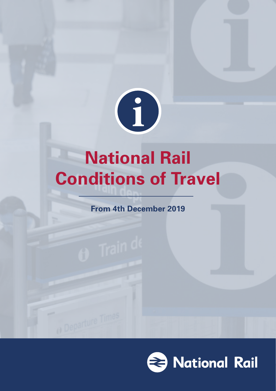

# **National Rail Conditions of Travel**

**From 4th December 2019**

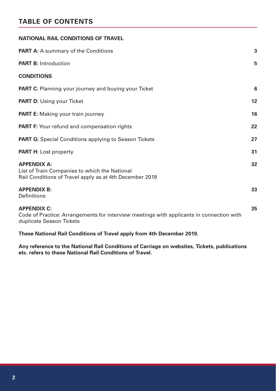# **TABLE OF CONTENTS**

| NATIONAL RAIL CONDITIONS OF TRAVEL                                                                                                         |                   |
|--------------------------------------------------------------------------------------------------------------------------------------------|-------------------|
| <b>PART A:</b> A summary of the Conditions                                                                                                 | 3                 |
| <b>PART B: Introduction</b>                                                                                                                | 5                 |
| <b>CONDITIONS</b>                                                                                                                          |                   |
| <b>PART C:</b> Planning your journey and buying your Ticket                                                                                | 6                 |
| <b>PART D:</b> Using your Ticket                                                                                                           | $12 \overline{ }$ |
| <b>PART E:</b> Making your train journey                                                                                                   | 16                |
| <b>PART F:</b> Your refund and compensation rights                                                                                         | 22                |
| <b>PART G:</b> Special Conditions applying to Season Tickets                                                                               | 27                |
| <b>PART H:</b> Lost property                                                                                                               | 31                |
| <b>APPENDIX A:</b><br>List of Train Companies to which the National<br>Rail Conditions of Travel apply as at 4th December 2019             | 32                |
| <b>APPENDIX B:</b><br>Definitions                                                                                                          | 33                |
| <b>APPENDIX C:</b><br>Code of Practice: Arrangements for interview meetings with applicants in connection with<br>duplicate Season Tickets | 35                |
|                                                                                                                                            |                   |

**These National Rail Conditions of Travel apply from 4th December 2019.**

**Any reference to the National Rail Conditions of Carriage on websites, Tickets, publications etc. refers to these National Rail Conditions of Travel.**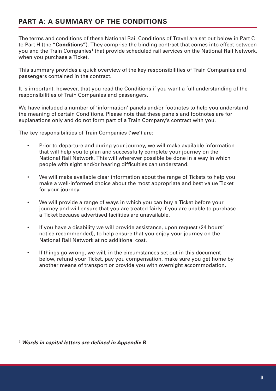# **PART A: A SUMMARY OF THE CONDITIONS**

The terms and conditions of these National Rail Conditions of Travel are set out below in Part C to Part H (the **"Conditions"**). They comprise the binding contract that comes into effect between you and the Train Companies<sup>1</sup> that provide scheduled rail services on the National Rail Network, when you purchase a Ticket.

This summary provides a quick overview of the key responsibilities of Train Companies and passengers contained in the contract.

It is important, however, that you read the Conditions if you want a full understanding of the responsibilities of Train Companies and passengers.

We have included a number of 'information' panels and/or footnotes to help you understand the meaning of certain Conditions. Please note that these panels and footnotes are for explanations only and do not form part of a Train Company's contract with you.

The key responsibilities of Train Companies (**'we**') are:

- Prior to departure and during your journey, we will make available information that will help you to plan and successfully complete your journey on the National Rail Network. This will wherever possible be done in a way in which people with sight and/or hearing difficulties can understand.
- We will make available clear information about the range of Tickets to help you make a well-informed choice about the most appropriate and best value Ticket for your journey.
- We will provide a range of ways in which you can buy a Ticket before your journey and will ensure that you are treated fairly if you are unable to purchase a Ticket because advertised facilities are unavailable.
- If you have a disability we will provide assistance, upon request (24 hours' notice recommended), to help ensure that you enjoy your journey on the National Rail Network at no additional cost.
- If things go wrong, we will, in the circumstances set out in this document below, refund your Ticket, pay you compensation, make sure you get home by another means of transport or provide you with overnight accommodation.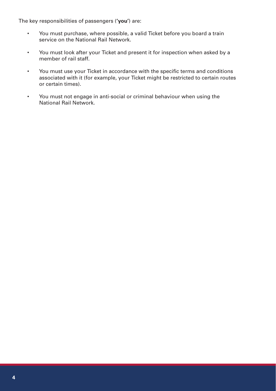The key responsibilities of passengers (**'you'**) are:

- You must purchase, where possible, a valid Ticket before you board a train service on the National Rail Network.
- You must look after your Ticket and present it for inspection when asked by a member of rail staff.
- You must use your Ticket in accordance with the specific terms and conditions associated with it (for example, your Ticket might be restricted to certain routes or certain times).
- You must not engage in anti-social or criminal behaviour when using the National Rail Network.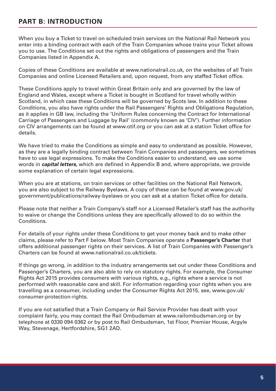# **PART B: INTRODUCTION**

When you buy a Ticket to travel on scheduled train services on the National Rail Network you enter into a binding contract with each of the Train Companies whose trains your Ticket allows you to use. The Conditions set out the rights and obligations of passengers and the Train Companies listed in Appendix A.

Copies of these Conditions are available at www.nationalrail.co.uk, on the websites of all Train Companies and online Licensed Retailers and, upon request, from any staffed Ticket office.

These Conditions apply to travel within Great Britain only and are governed by the law of England and Wales, except where a Ticket is bought in Scotland for travel wholly within Scotland, in which case these Conditions will be governed by Scots law. In addition to these Conditions, you also have rights under the Rail Passengers' Rights and Obligations Regulation, as it applies in GB law, including the 'Uniform Rules concerning the Contract for International Carriage of Passengers and Luggage by Rail' (commonly known as 'CIV'). Further information on CIV arrangements can be found at www.otif.org or you can ask at a station Ticket office for details.

We have tried to make the Conditions as simple and easy to understand as possible. However, as they are a legally binding contract between Train Companies and passengers, we sometimes have to use legal expressions. To make the Conditions easier to understand, we use some words in *capital letters,* which are defined in Appendix B and, where appropriate, we provide some explanation of certain legal expressions.

When you are at stations, on train services or other facilities on the National Rail Network, you are also subject to the Railway Byelaws. A copy of these can be found at www.gov.uk/ government/publications/railway-byelaws or you can ask at a station Ticket office for details.

Please note that neither a Train Company's staff nor a Licensed Retailer's staff has the authority to waive or change the Conditions unless they are specifically allowed to do so within the Conditions.

For details of your rights under these Conditions to get your money back and to make other claims, please refer to Part F below. Most Train Companies operate a **Passenger's Charter** that offers additional passenger rights on their services. A list of Train Companies with Passenger's Charters can be found at www.nationalrail.co.uk/tickets.

If things go wrong, in addition to the industry arrangements set out under these Conditions and Passenger's Charters, you are also able to rely on statutory rights. For example, the Consumer Rights Act 2015 provides consumers with various rights, e.g., rights where a service is not performed with reasonable care and skill. For information regarding your rights when you are travelling as a consumer, including under the Consumer Rights Act 2015, see, www.gov.uk/ consumer-protection-rights.

If you are not satisfied that a Train Company or Rail Service Provider has dealt with your complaint fairly, you may contact the Rail Ombudsman at www.railombudsman.org or by telephone at 0330 094 0362 or by post to Rail Ombudsman, 1st Floor, Premier House, Argyle Way, Stevenage, Hertfordshire, SG1 2AD.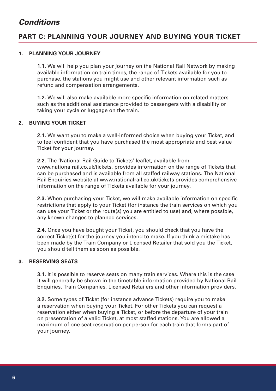# *Conditions*

# **PART C: PLANNING YOUR JOURNEY AND BUYING YOUR TICKET**

#### **1. PLANNING YOUR JOURNEY**

**1.1.** We will help you plan your journey on the National Rail Network by making available information on train times, the range of Tickets available for you to purchase, the stations you might use and other relevant information such as refund and compensation arrangements.

**1.2.** We will also make available more specific information on related matters such as the additional assistance provided to passengers with a disability or taking your cycle or luggage on the train.

#### **2. BUYING YOUR TICKET**

**2.1.** We want you to make a well-informed choice when buying your Ticket, and to feel confident that you have purchased the most appropriate and best value Ticket for your journey.

**2.2.** The 'National Rail Guide to Tickets' leaflet, available from www.nationalrail.co.uk/tickets, provides information on the range of Tickets that can be purchased and is available from all staffed railway stations. The National Rail Enquiries website at www.nationalrail.co.uk/tickets provides comprehensive information on the range of Tickets available for your journey.

**2.3.** When purchasing your Ticket, we will make available information on specific restrictions that apply to your Ticket (for instance the train services on which you can use your Ticket or the route(s) you are entitled to use) and, where possible, any known changes to planned services.

**2.4.** Once you have bought your Ticket, you should check that you have the correct Ticket(s) for the journey you intend to make. If you think a mistake has been made by the Train Company or Licensed Retailer that sold you the Ticket, you should tell them as soon as possible.

#### **3. RESERVING SEATS**

**3.1.** It is possible to reserve seats on many train services. Where this is the case it will generally be shown in the timetable information provided by National Rail Enquiries, Train Companies, Licensed Retailers and other information providers.

**3.2.** Some types of Ticket (for instance advance Tickets) require you to make a reservation when buying your Ticket. For other Tickets you can request a reservation either when buying a Ticket, or before the departure of your train on presentation of a valid Ticket, at most staffed stations. You are allowed a maximum of one seat reservation per person for each train that forms part of your journey.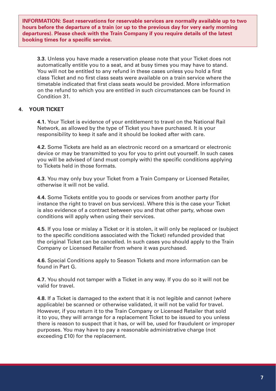**INFORMATION: Seat reservations for reservable services are normally available up to two hours before the departure of a train (or up to the previous day for very early morning departures). Please check with the Train Company if you require details of the latest booking times for a specific service.**

**3.3.** Unless you have made a reservation please note that your Ticket does not automatically entitle you to a seat, and at busy times you may have to stand. You will not be entitled to any refund in these cases unless you hold a first class Ticket and no first class seats were available on a train service where the timetable indicated that first class seats would be provided. More information on the refund to which you are entitled in such circumstances can be found in Condition 31.

#### **4. YOUR TICKET**

**4.1.** Your Ticket is evidence of your entitlement to travel on the National Rail Network, as allowed by the type of Ticket you have purchased. It is your responsibility to keep it safe and it should be looked after with care.

**4.2.** Some Tickets are held as an electronic record on a smartcard or electronic device or may be transmitted to you for you to print out yourself. In such cases you will be advised of (and must comply with) the specific conditions applying to Tickets held in those formats.

**4.3.** You may only buy your Ticket from a Train Company or Licensed Retailer, otherwise it will not be valid.

**4.4.** Some Tickets entitle you to goods or services from another party (for instance the right to travel on bus services). Where this is the case your Ticket is also evidence of a contract between you and that other party, whose own conditions will apply when using their services.

**4.5.** If you lose or mislay a Ticket or it is stolen, it will only be replaced or (subject to the specific conditions associated with the Ticket) refunded provided that the original Ticket can be cancelled. In such cases you should apply to the Train Company or Licensed Retailer from where it was purchased.

**4.6.** Special Conditions apply to Season Tickets and more information can be found in Part G.

**4.7.** You should not tamper with a Ticket in any way. If you do so it will not be valid for travel.

**4.8.** If a Ticket is damaged to the extent that it is not legible and cannot (where applicable) be scanned or otherwise validated, it will not be valid for travel. However, if you return it to the Train Company or Licensed Retailer that sold it to you, they will arrange for a replacement Ticket to be issued to you unless there is reason to suspect that it has, or will be, used for fraudulent or improper purposes. You may have to pay a reasonable administrative charge (not exceeding £10) for the replacement.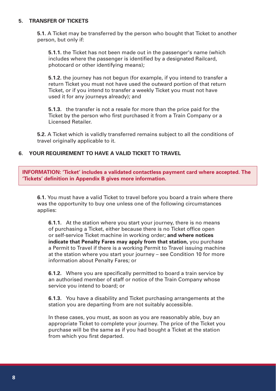#### **5. TRANSFER OF TICKETS**

**5.1.** A Ticket may be transferred by the person who bought that Ticket to another person, but only if:

**5.1.1.** the Ticket has not been made out in the passenger's name (which includes where the passenger is identified by a designated Railcard, photocard or other identifying means);

**5.1.2.** the journey has not begun (for example, if you intend to transfer a return Ticket you must not have used the outward portion of that return Ticket, or if you intend to transfer a weekly Ticket you must not have used it for any journeys already); and

**5.1.3.** the transfer is not a resale for more than the price paid for the Ticket by the person who first purchased it from a Train Company or a Licensed Retailer.

**5.2.** A Ticket which is validly transferred remains subject to all the conditions of travel originally applicable to it.

#### **6. YOUR REQUIREMENT TO HAVE A VALID TICKET TO TRAVEL**

**INFORMATION: 'Ticket' includes a validated contactless payment card where accepted. The 'Tickets' definition in Appendix B gives more information.**

**6.1.** You must have a valid Ticket to travel before you board a train where there was the opportunity to buy one unless one of the following circumstances applies:

**6.1.1.** At the station where you start your journey, there is no means of purchasing a Ticket, either because there is no Ticket office open or self-service Ticket machine in working order; **and where notices indicate that Penalty Fares may apply from that station,** you purchase a Permit to Travel if there is a working Permit to Travel issuing machine at the station where you start your journey – see Condition 10 for more information about Penalty Fares; or

**6.1.2.** Where you are specifically permitted to board a train service by an authorised member of staff or notice of the Train Company whose service you intend to board; or

**6.1.3.** You have a disability and Ticket purchasing arrangements at the station you are departing from are not suitably accessible.

In these cases, you must, as soon as you are reasonably able, buy an appropriate Ticket to complete your journey. The price of the Ticket you purchase will be the same as if you had bought a Ticket at the station from which you first departed.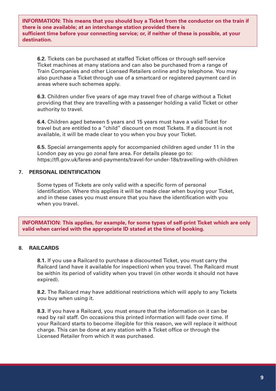**INFORMATION: This means that you should buy a Ticket from the conductor on the train if there is one available; at an interchange station provided there is sufficient time before your connecting service; or, if neither of these is possible, at your destination.**

**6.2.** Tickets can be purchased at staffed Ticket offices or through self-service Ticket machines at many stations and can also be purchased from a range of Train Companies and other Licensed Retailers online and by telephone. You may also purchase a Ticket through use of a smartcard or registered payment card in areas where such schemes apply.

**6.3.** Children under five years of age may travel free of charge without a Ticket providing that they are travelling with a passenger holding a valid Ticket or other authority to travel.

**6.4.** Children aged between 5 years and 15 years must have a valid Ticket for travel but are entitled to a "child" discount on most Tickets. If a discount is not available, it will be made clear to you when you buy your Ticket.

**6.5.** Special arrangements apply for accompanied children aged under 11 in the London pay as you go zonal fare area. For details please go to: https://tfl.gov.uk/fares-and-payments/travel-for-under-18s/travelling-with-children

#### **7. PERSONAL IDENTIFICATION**

Some types of Tickets are only valid with a specific form of personal identification. Where this applies it will be made clear when buying your Ticket, and in these cases you must ensure that you have the identification with you when you travel.

**INFORMATION: This applies, for example, for some types of self-print Ticket which are only valid when carried with the appropriate ID stated at the time of booking.**

#### **8. RAILCARDS**

**8.1.** If you use a Railcard to purchase a discounted Ticket, you must carry the Railcard (and have it available for inspection) when you travel. The Railcard must be within its period of validity when you travel (in other words it should not have expired).

**8.2.** The Railcard may have additional restrictions which will apply to any Tickets you buy when using it.

**8.3.** If you have a Railcard, you must ensure that the information on it can be read by rail staff. On occasions this printed information will fade over time. If your Railcard starts to become illegible for this reason, we will replace it without charge. This can be done at any station with a Ticket office or through the Licensed Retailer from which it was purchased.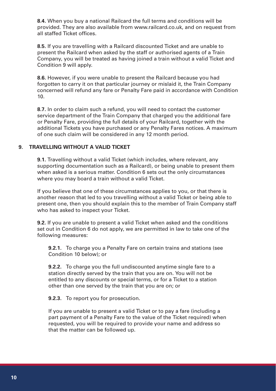**8.4.** When you buy a national Railcard the full terms and conditions will be provided. They are also available from www.railcard.co.uk, and on request from all staffed Ticket offices.

**8.5.** If you are travelling with a Railcard discounted Ticket and are unable to present the Railcard when asked by the staff or authorised agents of a Train Company, you will be treated as having joined a train without a valid Ticket and Condition 9 will apply.

**8.6.** However, if you were unable to present the Railcard because you had forgotten to carry it on that particular journey or mislaid it, the Train Company concerned will refund any fare or Penalty Fare paid in accordance with Condition 10.

**8.7.** In order to claim such a refund, you will need to contact the customer service department of the Train Company that charged you the additional fare or Penalty Fare, providing the full details of your Railcard, together with the additional Tickets you have purchased or any Penalty Fares notices. A maximum of one such claim will be considered in any 12 month period.

#### **9. TRAVELLING WITHOUT A VALID TICKET**

**9.1.** Travelling without a valid Ticket (which includes, where relevant, any supporting documentation such as a Railcard), or being unable to present them when asked is a serious matter. Condition 6 sets out the only circumstances where you may board a train without a valid Ticket.

If you believe that one of these circumstances applies to you, or that there is another reason that led to you travelling without a valid Ticket or being able to present one, then you should explain this to the member of Train Company staff who has asked to inspect your Ticket.

**9.2.** If you are unable to present a valid Ticket when asked and the conditions set out in Condition 6 do not apply, we are permitted in law to take one of the following measures:

**9.2.1.** To charge you a Penalty Fare on certain trains and stations (see Condition 10 below); or

**9.2.2.** To charge you the full undiscounted anytime single fare to a station directly served by the train that you are on. You will not be entitled to any discounts or special terms, or for a Ticket to a station other than one served by the train that you are on; or

**9.2.3.** To report you for prosecution.

If you are unable to present a valid Ticket or to pay a fare (including a part payment of a Penalty Fare to the value of the Ticket required) when requested, you will be required to provide your name and address so that the matter can be followed up.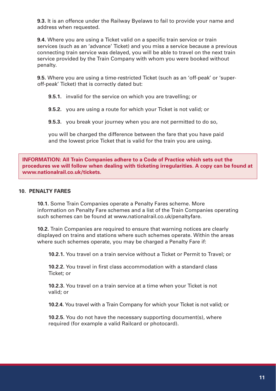**9.3.** It is an offence under the Railway Byelaws to fail to provide your name and address when requested.

**9.4.** Where you are using a Ticket valid on a specific train service or train services (such as an 'advance' Ticket) and you miss a service because a previous connecting train service was delayed, you will be able to travel on the next train service provided by the Train Company with whom you were booked without penalty.

**9.5.** Where you are using a time-restricted Ticket (such as an 'off-peak' or 'superoff-peak' Ticket) that is correctly dated but:

**9.5.1.** invalid for the service on which you are travelling; or

**9.5.2.** you are using a route for which your Ticket is not valid; or

**9.5.3.** you break your journey when you are not permitted to do so,

you will be charged the difference between the fare that you have paid and the lowest price Ticket that is valid for the train you are using.

**INFORMATION: All Train Companies adhere to a Code of Practice which sets out the procedures we will follow when dealing with ticketing irregularities. A copy can be found at www.nationalrail.co.uk/tickets.**

#### **10. PENALTY FARES**

**10.1.** Some Train Companies operate a Penalty Fares scheme. More information on Penalty Fare schemes and a list of the Train Companies operating such schemes can be found at www.nationalrail.co.uk/penaltyfare.

**10.2.** Train Companies are required to ensure that warning notices are clearly displayed on trains and stations where such schemes operate. Within the areas where such schemes operate, you may be charged a Penalty Fare if:

**10.2.1.** You travel on a train service without a Ticket or Permit to Travel; or

**10.2.2.** You travel in first class accommodation with a standard class Ticket; or

**10.2.3.** You travel on a train service at a time when your Ticket is not valid; or

**10.2.4.** You travel with a Train Company for which your Ticket is not valid; or

**10.2.5.** You do not have the necessary supporting document(s), where required (for example a valid Railcard or photocard).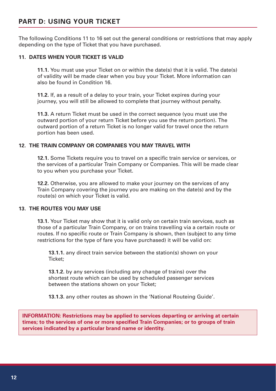# **PART D: USING YOUR TICKET**

The following Conditions 11 to 16 set out the general conditions or restrictions that may apply depending on the type of Ticket that you have purchased.

#### **11. DATES WHEN YOUR TICKET IS VALID**

**11.1.** You must use your Ticket on or within the date(s) that it is valid. The date(s) of validity will be made clear when you buy your Ticket. More information can also be found in Condition 16.

**11.2.** If, as a result of a delay to your train, your Ticket expires during your journey, you will still be allowed to complete that journey without penalty.

**11.3.** A return Ticket must be used in the correct sequence (you must use the outward portion of your return Ticket before you use the return portion). The outward portion of a return Ticket is no longer valid for travel once the return portion has been used.

#### **12. THE TRAIN COMPANY OR COMPANIES YOU MAY TRAVEL WITH**

**12.1.** Some Tickets require you to travel on a specific train service or services, or the services of a particular Train Company or Companies. This will be made clear to you when you purchase your Ticket.

**12.2.** Otherwise, you are allowed to make your journey on the services of any Train Company covering the journey you are making on the date(s) and by the route(s) on which your Ticket is valid.

#### **13. THE ROUTES YOU MAY USE**

**13.1.** Your Ticket may show that it is valid only on certain train services, such as those of a particular Train Company, or on trains travelling via a certain route or routes. If no specific route or Train Company is shown, then (subject to any time restrictions for the type of fare you have purchased) it will be valid on:

**13.1.1.** any direct train service between the station(s) shown on your Ticket;

**13.1.2.** by any services (including any change of trains) over the shortest route which can be used by scheduled passenger services between the stations shown on your Ticket;

**13.1.3.** any other routes as shown in the 'National Routeing Guide'.

**INFORMATION: Restrictions may be applied to services departing or arriving at certain times; to the services of one or more specified Train Companies; or to groups of train services indicated by a particular brand name or identity.**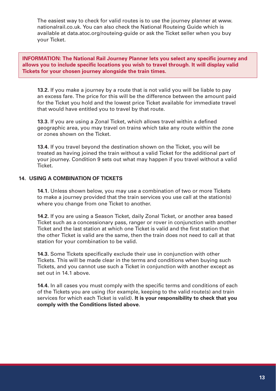The easiest way to check for valid routes is to use the journey planner at www. nationalrail.co.uk. You can also check the National Routeing Guide which is available at data.atoc.org/routeing-guide or ask the Ticket seller when you buy your Ticket.

**INFORMATION: The National Rail Journey Planner lets you select any specific journey and allows you to include specific locations you wish to travel through. It will display valid Tickets for your chosen journey alongside the train times.**

**13.2.** If you make a journey by a route that is not valid you will be liable to pay an excess fare. The price for this will be the difference between the amount paid for the Ticket you hold and the lowest price Ticket available for immediate travel that would have entitled you to travel by that route.

**13.3.** If you are using a Zonal Ticket, which allows travel within a defined geographic area, you may travel on trains which take any route within the zone or zones shown on the Ticket.

**13.4.** If you travel beyond the destination shown on the Ticket, you will be treated as having joined the train without a valid Ticket for the additional part of your journey. Condition 9 sets out what may happen if you travel without a valid Ticket.

#### **14. USING A COMBINATION OF TICKETS**

**14.1.** Unless shown below, you may use a combination of two or more Tickets to make a journey provided that the train services you use call at the station(s) where you change from one Ticket to another.

**14.2.** If you are using a Season Ticket, daily Zonal Ticket, or another area based Ticket such as a concessionary pass, ranger or rover in conjunction with another Ticket and the last station at which one Ticket is valid and the first station that the other Ticket is valid are the same, then the train does not need to call at that station for your combination to be valid.

**14.3.** Some Tickets specifically exclude their use in conjunction with other Tickets. This will be made clear in the terms and conditions when buying such Tickets, and you cannot use such a Ticket in conjunction with another except as set out in 14.1 above.

**14.4.** In all cases you must comply with the specific terms and conditions of each of the Tickets you are using (for example, keeping to the valid route(s) and train services for which each Ticket is valid). **It is your responsibility to check that you comply with the Conditions listed above.**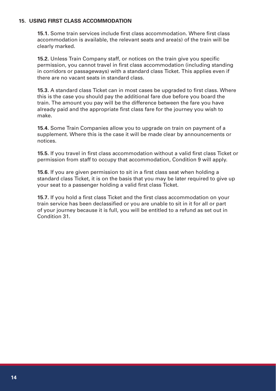#### **15. USING FIRST CLASS ACCOMMODATION**

**15.1.** Some train services include first class accommodation. Where first class accommodation is available, the relevant seats and area(s) of the train will be clearly marked.

**15.2.** Unless Train Company staff, or notices on the train give you specific permission, you cannot travel in first class accommodation (including standing in corridors or passageways) with a standard class Ticket. This applies even if there are no vacant seats in standard class.

**15.3.** A standard class Ticket can in most cases be upgraded to first class. Where this is the case you should pay the additional fare due before you board the train. The amount you pay will be the difference between the fare you have already paid and the appropriate first class fare for the journey you wish to make.

**15.4.** Some Train Companies allow you to upgrade on train on payment of a supplement. Where this is the case it will be made clear by announcements or notices.

**15.5.** If you travel in first class accommodation without a valid first class Ticket or permission from staff to occupy that accommodation, Condition 9 will apply.

**15.6.** If you are given permission to sit in a first class seat when holding a standard class Ticket, it is on the basis that you may be later required to give up your seat to a passenger holding a valid first class Ticket.

**15.7.** If you hold a first class Ticket and the first class accommodation on your train service has been declassified or you are unable to sit in it for all or part of your journey because it is full, you will be entitled to a refund as set out in Condition 31.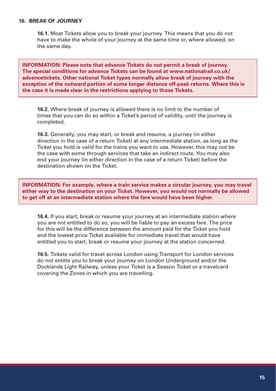#### **16. BREAK OF JOURNEY**

**16.1.** Most Tickets allow you to break your journey. This means that you do not have to make the whole of your journey at the same time or, where allowed, on the same day.

**INFORMATION: Please note that advance Tickets do not permit a break of journey. The special conditions for advance Tickets can be found at www.nationalrail.co.uk/ advancetickets. Other national Ticket types normally allow break of journey with the exception of the outward portion of some longer distance off-peak returns. Where this is the case it is made clear in the restrictions applying to those Tickets.**

**16.2.** Where break of journey is allowed there is no limit to the number of times that you can do so within a Ticket's period of validity, until the journey is completed.

**16.3.** Generally, you may start, or break and resume, a journey (in either direction in the case of a return Ticket) at any intermediate station, as long as the Ticket you hold is valid for the trains you want to use. However, this may not be the case with some through services that take an indirect route. You may also end your journey (in either direction in the case of a return Ticket) before the destination shown on the Ticket.

**INFORMATION: For example, where a train service makes a circular journey, you may travel either way to the destination on your Ticket. However, you would not normally be allowed to get off at an intermediate station where the fare would have been higher.**

**16.4.** If you start, break or resume your journey at an intermediate station where you are not entitled to do so, you will be liable to pay an excess fare. The price for this will be the difference between the amount paid for the Ticket you hold and the lowest price Ticket available for immediate travel that would have entitled you to start, break or resume your journey at the station concerned.

**16.5.** Tickets valid for travel across London using Transport for London services do not entitle you to break your journey on London Underground and/or the Docklands Light Railway, unless your Ticket is a Season Ticket or a travelcard covering the Zones in which you are travelling.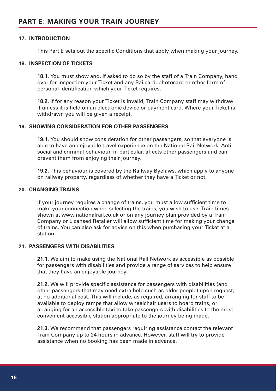#### **17. INTRODUCTION**

This Part E sets out the specific Conditions that apply when making your journey.

#### **18. INSPECTION OF TICKETS**

**18.1.** You must show and, if asked to do so by the staff of a Train Company, hand over for inspection your Ticket and any Railcard, photocard or other form of personal identification which your Ticket requires.

**18.2.** If for any reason your Ticket is invalid, Train Company staff may withdraw it unless it is held on an electronic device or payment card. Where your Ticket is withdrawn you will be given a receipt.

#### **19. SHOWING CONSIDERATION FOR OTHER PASSENGERS**

**19.1.** You should show consideration for other passengers, so that everyone is able to have an enjoyable travel experience on the National Rail Network. Antisocial and criminal behaviour, in particular, affects other passengers and can prevent them from enjoying their journey.

**19.2.** This behaviour is covered by the Railway Byelaws, which apply to anyone on railway property, regardless of whether they have a Ticket or not.

#### **20. CHANGING TRAINS**

If your journey requires a change of trains, you must allow sufficient time to make your connection when selecting the trains, you wish to use. Train times shown at www.nationalrail.co.uk or on any journey plan provided by a Train Company or Licensed Retailer will allow sufficient time for making your change of trains. You can also ask for advice on this when purchasing your Ticket at a station.

#### **21. PASSENGERS WITH DISABILITIES**

**21.1.** We aim to make using the National Rail Network as accessible as possible for passengers with disabilities and provide a range of services to help ensure that they have an enjoyable journey.

**21.2.** We will provide specific assistance for passengers with disabilities (and other passengers that may need extra help such as older people) upon request, at no additional cost. This will include, as required, arranging for staff to be available to deploy ramps that allow wheelchair users to board trains; or arranging for an accessible taxi to take passengers with disabilities to the most convenient accessible station appropriate to the journey being made.

**21.3.** We recommend that passengers requiring assistance contact the relevant Train Company up to 24 hours in advance. However, staff will try to provide assistance when no booking has been made in advance.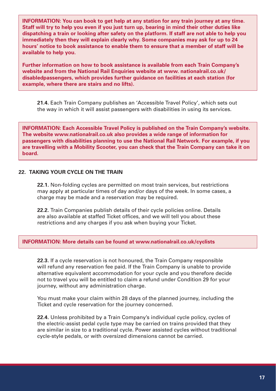**INFORMATION: You can book to get help at any station for any train journey at any time. Staff will try to help you even if you just turn up, bearing in mind their other duties like dispatching a train or looking after safety on the platform. If staff are not able to help you immediately then they will explain clearly why. Some companies may ask for up to 24 hours' notice to book assistance to enable them to ensure that a member of staff will be available to help you.**

**Further information on how to book assistance is available from each Train Company's website and from the National Rail Enquiries website at www. nationalrail.co.uk/ disabledpassengers, which provides further guidance on facilities at each station (for example, where there are stairs and no lifts).**

**21.4.** Each Train Company publishes an 'Accessible Travel Policy', which sets out the way in which it will assist passengers with disabilities in using its services.

**INFORMATION: Each Accessible Travel Policy is published on the Train Company's website. The website www.nationalrail.co.uk also provides a wide range of information for passengers with disabilities planning to use the National Rail Network. For example, if you are travelling with a Mobility Scooter, you can check that the Train Company can take it on board.**

#### **22. TAKING YOUR CYCLE ON THE TRAIN**

**22.1.** Non-folding cycles are permitted on most train services, but restrictions may apply at particular times of day and/or days of the week. In some cases, a charge may be made and a reservation may be required.

**22.2.** Train Companies publish details of their cycle policies online. Details are also available at staffed Ticket offices, and we will tell you about these restrictions and any charges if you ask when buying your Ticket.

#### **INFORMATION: More details can be found at www.nationalrail.co.uk/cyclists**

**22.3.** If a cycle reservation is not honoured, the Train Company responsible will refund any reservation fee paid. If the Train Company is unable to provide alternative equivalent accommodation for your cycle and you therefore decide not to travel you will be entitled to claim a refund under Condition 29 for your journey, without any administration charge.

You must make your claim within 28 days of the planned journey, including the Ticket and cycle reservation for the journey concerned.

**22.4.** Unless prohibited by a Train Company's individual cycle policy, cycles of the electric-assist pedal cycle type may be carried on trains provided that they are similar in size to a traditional cycle. Power assisted cycles without traditional cycle-style pedals, or with oversized dimensions cannot be carried.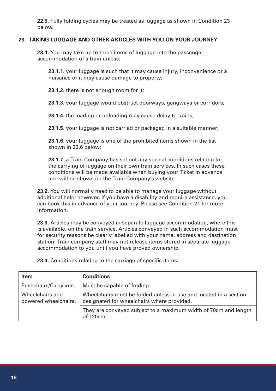**22.5.** Fully folding cycles may be treated as luggage as shown in Condition 23 below.

#### **23. TAKING LUGGAGE AND OTHER ARTICLES WITH YOU ON YOUR JOURNEY**

23.1. You may take up to three items of luggage into the passenger accommodation of a train unless:

**23.1.1.** your luggage is such that it may cause injury, inconvenience or a nuisance or it may cause damage to property;

**23.1.2.** there is not enough room for it;

**23.1.3.** your luggage would obstruct doorways, gangways or corridors;

**23.1.4.** the loading or unloading may cause delay to trains;

**23.1.5.** your luggage is not carried or packaged in a suitable manner;

**23.1.6.** your luggage is one of the prohibited items shown in the list shown in 23.6 below;

**23.1.7.** a Train Company has set out any special conditions relating to the carrying of luggage on their own train services. In such cases these conditions will be made available when buying your Ticket in advance and will be shown on the Train Company's website.

**23.2.** You will normally need to be able to manage your luggage without additional help; however, if you have a disability and require assistance, you can book this in advance of your journey. Please see Condition 21 for more information.

**23.3.** Articles may be conveyed in separate luggage accommodation, where this is available, on the train service. Articles conveyed in such accommodation must for security reasons be clearly labelled with your name, address and destination station. Train company staff may not release items stored in separate luggage accommodation to you until you have proved ownership.

**Item Conditions** Pushchairs/Carrycots. | Must be capable of folding Wheelchairs and powered wheelchairs. Wheelchairs must be folded unless in use and located in a section designated for wheelchairs where provided. They are conveyed subject to a maximum width of 70cm and length of 120cm.

**23.4.** Conditions relating to the carriage of specific items: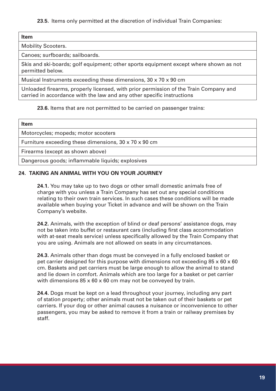**23.5.** Items only permitted at the discretion of individual Train Companies:

#### **Item**

Mobility Scooters.

Canoes; surfboards; sailboards.

Skis and ski-boards; golf equipment; other sports equipment except where shown as not permitted below.

Musical Instruments exceeding these dimensions, 30 x 70 x 90 cm

Unloaded firearms, properly licensed, with prior permission of the Train Company and carried in accordance with the law and any other specific instructions

#### **23.6.** Items that are not permitted to be carried on passenger trains:

| Item                                                              |  |
|-------------------------------------------------------------------|--|
| Motorcycles; mopeds; motor scooters                               |  |
| Furniture exceeding these dimensions, $30 \times 70 \times 90$ cm |  |
| Firearms (except as shown above)                                  |  |
| Dangerous goods; inflammable liquids; explosives                  |  |

#### **24. TAKING AN ANIMAL WITH YOU ON YOUR JOURNEY**

**24.1.** You may take up to two dogs or other small domestic animals free of charge with you unless a Train Company has set out any special conditions relating to their own train services. In such cases these conditions will be made available when buying your Ticket in advance and will be shown on the Train Company's website.

**24.2.** Animals, with the exception of blind or deaf persons' assistance dogs, may not be taken into buffet or restaurant cars (including first class accommodation with at-seat meals service) unless specifically allowed by the Train Company that you are using. Animals are not allowed on seats in any circumstances.

**24.3.** Animals other than dogs must be conveyed in a fully enclosed basket or pet carrier designed for this purpose with dimensions not exceeding  $85 \times 60 \times 60$ cm. Baskets and pet carriers must be large enough to allow the animal to stand and lie down in comfort. Animals which are too large for a basket or pet carrier with dimensions 85 x 60 x 60 cm may not be conveyed by train.

**24.4.** Dogs must be kept on a lead throughout your journey, including any part of station property; other animals must not be taken out of their baskets or pet carriers. If your dog or other animal causes a nuisance or inconvenience to other passengers, you may be asked to remove it from a train or railway premises by staff.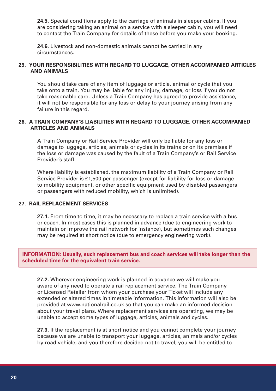**24.5.** Special conditions apply to the carriage of animals in sleeper cabins. If you are considering taking an animal on a service with a sleeper cabin, you will need to contact the Train Company for details of these before you make your booking.

**24.6.** Livestock and non-domestic animals cannot be carried in any circumstances.

#### **25. YOUR RESPONSIBILITIES WITH REGARD TO LUGGAGE, OTHER ACCOMPANIED ARTICLES AND ANIMALS**

You should take care of any item of luggage or article, animal or cycle that you take onto a train. You may be liable for any injury, damage, or loss if you do not take reasonable care. Unless a Train Company has agreed to provide assistance, it will not be responsible for any loss or delay to your journey arising from any failure in this regard.

#### **26. A TRAIN COMPANY'S LIABILITIES WITH REGARD TO LUGGAGE, OTHER ACCOMPANIED ARTICLES AND ANIMALS**

A Train Company or Rail Service Provider will only be liable for any loss or damage to luggage, articles, animals or cycles in its trains or on its premises if the loss or damage was caused by the fault of a Train Company's or Rail Service Provider's staff.

Where liability is established, the maximum liability of a Train Company or Rail Service Provider is £1,500 per passenger (except for liability for loss or damage to mobility equipment, or other specific equipment used by disabled passengers or passengers with reduced mobility, which is unlimited).

#### **27. RAIL REPLACEMENT SERVICES**

**27.1.** From time to time, it may be necessary to replace a train service with a bus or coach. In most cases this is planned in advance (due to engineering work to maintain or improve the rail network for instance), but sometimes such changes may be required at short notice (due to emergency engineering work).

**INFORMATION: Usually, such replacement bus and coach services will take longer than the scheduled time for the equivalent train service.**

**27.2.** Wherever engineering work is planned in advance we will make you aware of any need to operate a rail replacement service. The Train Company or Licensed Retailer from whom your purchase your Ticket will include any extended or altered times in timetable information. This information will also be provided at www.nationalrail.co.uk so that you can make an informed decision about your travel plans. Where replacement services are operating, we may be unable to accept some types of luggage, articles, animals and cycles.

**27.3.** If the replacement is at short notice and you cannot complete your journey because we are unable to transport your luggage, articles, animals and/or cycles by road vehicle, and you therefore decided not to travel, you will be entitled to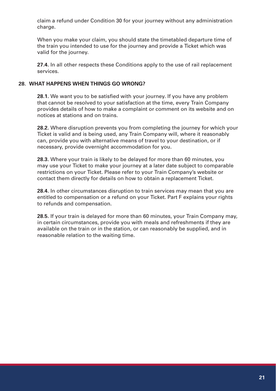claim a refund under Condition 30 for your journey without any administration charge.

When you make your claim, you should state the timetabled departure time of the train you intended to use for the journey and provide a Ticket which was valid for the journey.

**27.4.** In all other respects these Conditions apply to the use of rail replacement services.

#### **28. WHAT HAPPENS WHEN THINGS GO WRONG?**

**28.1.** We want you to be satisfied with your journey. If you have any problem that cannot be resolved to your satisfaction at the time, every Train Company provides details of how to make a complaint or comment on its website and on notices at stations and on trains.

**28.2.** Where disruption prevents you from completing the journey for which your Ticket is valid and is being used, any Train Company will, where it reasonably can, provide you with alternative means of travel to your destination, or if necessary, provide overnight accommodation for you.

**28.3.** Where your train is likely to be delayed for more than 60 minutes, you may use your Ticket to make your journey at a later date subject to comparable restrictions on your Ticket. Please refer to your Train Company's website or contact them directly for details on how to obtain a replacement Ticket.

**28.4.** In other circumstances disruption to train services may mean that you are entitled to compensation or a refund on your Ticket. Part F explains your rights to refunds and compensation.

**28.5.** If your train is delayed for more than 60 minutes, your Train Company may, in certain circumstances, provide you with meals and refreshments if they are available on the train or in the station, or can reasonably be supplied, and in reasonable relation to the waiting time.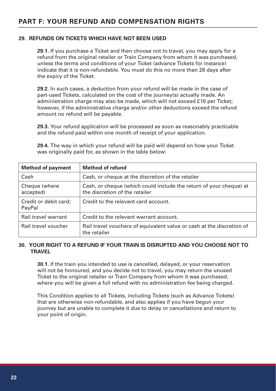# **PART F: YOUR REFUND AND COMPENSATION RIGHTS**

#### **29. REFUNDS ON TICKETS WHICH HAVE NOT BEEN USED**

**29.1.** If you purchase a Ticket and then choose not to travel, you may apply for a refund from the original retailer or Train Company from whom it was purchased, unless the terms and conditions of your Ticket (advance Tickets for instance) indicate that it is non-refundable. You must do this no more than 28 days after the expiry of the Ticket.

**29.2.** In such cases, a deduction from your refund will be made in the case of part-used Tickets, calculated on the cost of the journey(s) actually made. An administration charge may also be made, which will not exceed £10 per Ticket; however, if the administrative charge and/or other deductions exceed the refund amount no refund will be payable.

**29.3.** Your refund application will be processed as soon as reasonably practicable and the refund paid within one month of receipt of your application.

**29.4.** The way in which your refund will be paid will depend on how your Ticket was originally paid for, as shown in the table below:

| <b>Method of payment</b>        | <b>Method of refund</b>                                                                              |
|---------------------------------|------------------------------------------------------------------------------------------------------|
| Cash                            | Cash, or cheque at the discretion of the retailer                                                    |
| Cheque (where<br>accepted)      | Cash, or cheque (which could include the return of your cheque) at<br>the discretion of the retailer |
| Credit or debit card;<br>PayPal | Credit to the relevant card account.                                                                 |
| Rail travel warrant             | Credit to the relevant warrant account.                                                              |
| Rail travel voucher             | Rail travel vouchers of equivalent value or cash at the discretion of<br>the retailer                |

#### **30. YOUR RIGHT TO A REFUND IF YOUR TRAIN IS DISRUPTED AND YOU CHOOSE NOT TO TRAVEL**

**30.1.** If the train you intended to use is cancelled, delayed, or your reservation will not be honoured, and you decide not to travel, you may return the unused Ticket to the original retailer or Train Company from whom it was purchased, where you will be given a full refund with no administration fee being charged.

This Condition applies to all Tickets, including Tickets (such as Advance Tickets) that are otherwise non-refundable, and also applies if you have begun your journey but are unable to complete it due to delay or cancellations and return to your point of origin.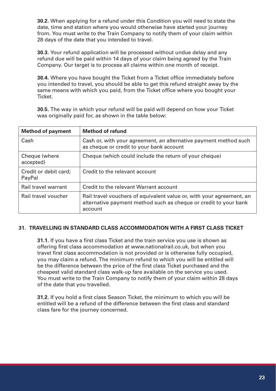**30.2.** When applying for a refund under this Condition you will need to state the date, time and station where you would otherwise have started your journey from. You must write to the Train Company to notify them of your claim within 28 days of the date that you intended to travel.

**30.3.** Your refund application will be processed without undue delay and any refund due will be paid within 14 days of your claim being agreed by the Train Company. Our target is to process all claims within one month of receipt.

**30.4.** Where you have bought the Ticket from a Ticket office immediately before you intended to travel, you should be able to get this refund straight away by the same means with which you paid, from the Ticket office where you bought your **Ticket** 

**30.5.** The way in which your refund will be paid will depend on how your Ticket was originally paid for, as shown in the table below:

| <b>Method of payment</b>        | <b>Method of refund</b>                                                                                                                             |
|---------------------------------|-----------------------------------------------------------------------------------------------------------------------------------------------------|
| Cash                            | Cash or, with your agreement, an alternative payment method such<br>as cheque or credit to your bank account                                        |
| Cheque (where<br>accepted)      | Cheque (which could include the return of your cheque)                                                                                              |
| Credit or debit card;<br>PayPal | Credit to the relevant account                                                                                                                      |
| Rail travel warrant             | Credit to the relevant Warrant account                                                                                                              |
| Rail travel voucher             | Rail travel vouchers of equivalent value or, with your agreement, an<br>alternative payment method such as cheque or credit to your bank<br>account |

#### **31. TRAVELLING IN STANDARD CLASS ACCOMMODATION WITH A FIRST CLASS TICKET**

**31.1.** If you have a first class Ticket and the train service you use is shown as offering first class accommodation at www.nationalrail.co.uk, but when you travel first class accommodation is not provided or is otherwise fully occupied, you may claim a refund. The minimum refund to which you will be entitled will be the difference between the price of the first class Ticket purchased and the cheapest valid standard class walk-up fare available on the service you used. You must write to the Train Company to notify them of your claim within 28 days of the date that you travelled.

**31.2.** If you hold a first class Season Ticket, the minimum to which you will be entitled will be a refund of the difference between the first class and standard class fare for the journey concerned.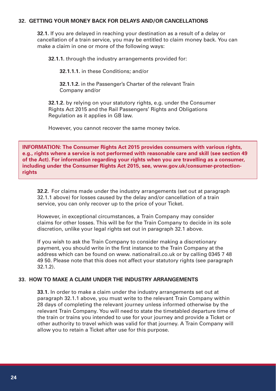#### **32. GETTING YOUR MONEY BACK FOR DELAYS AND/OR CANCELLATIONS**

**32.1.** If you are delayed in reaching your destination as a result of a delay or cancellation of a train service, you may be entitled to claim money back. You can make a claim in one or more of the following ways:

**32.1.1.** through the industry arrangements provided for:

**32.1.1.1.** in these Conditions; and/or

**32.1.1.2.** in the Passenger's Charter of the relevant Train Company and/or

**32.1.2.** by relying on your statutory rights, e.g. under the Consumer Rights Act 2015 and the Rail Passengers' Rights and Obligations Regulation as it applies in GB law.

However, you cannot recover the same money twice.

**INFORMATION: The Consumer Rights Act 2015 provides consumers with various rights, e.g., rights where a service is not performed with reasonable care and skill (see section 49 of the Act). For information regarding your rights when you are travelling as a consumer, including under the Consumer Rights Act 2015, see, www.gov.uk/consumer-protectionrights**

**32.2.** For claims made under the industry arrangements (set out at paragraph 32.1.1 above) for losses caused by the delay and/or cancellation of a train service, you can only recover up to the price of your Ticket.

However, in exceptional circumstances, a Train Company may consider claims for other losses. This will be for the Train Company to decide in its sole discretion, unlike your legal rights set out in paragraph 32.1 above.

If you wish to ask the Train Company to consider making a discretionary payment, you should write in the first instance to the Train Company at the address which can be found on www. nationalrail.co.uk or by calling 0345 7 48 49 50. Please note that this does not affect your statutory rights (see paragraph 32.1.2).

#### **33. HOW TO MAKE A CLAIM UNDER THE INDUSTRY ARRANGEMENTS**

**33.1.** In order to make a claim under the industry arrangements set out at paragraph 32.1.1 above, you must write to the relevant Train Company within 28 days of completing the relevant journey unless informed otherwise by the relevant Train Company. You will need to state the timetabled departure time of the train or trains you intended to use for your journey and provide a Ticket or other authority to travel which was valid for that journey. A Train Company will allow you to retain a Ticket after use for this purpose.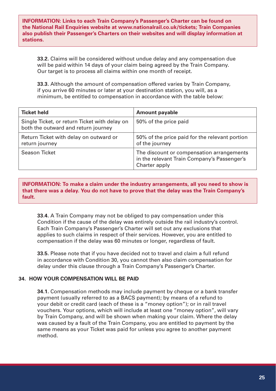**INFORMATION: Links to each Train Company's Passenger's Charter can be found on the National Rail Enquiries website at www.nationalrail.co.uk/tickets; Train Companies also publish their Passenger's Charters on their websites and will display information at stations.**

**33.2.** Claims will be considered without undue delay and any compensation due will be paid within 14 days of your claim being agreed by the Train Company. Our target is to process all claims within one month of receipt.

**33.3.** Although the amount of compensation offered varies by Train Company, if you arrive 60 minutes or later at your destination station, you will, as a minimum, be entitled to compensation in accordance with the table below:

| <b>Ticket held</b>                                                                   | <b>Amount payable</b>                                                                                     |
|--------------------------------------------------------------------------------------|-----------------------------------------------------------------------------------------------------------|
| Single Ticket, or return Ticket with delay on<br>both the outward and return journey | 50% of the price paid                                                                                     |
| Return Ticket with delay on outward or<br>return journey                             | 50% of the price paid for the relevant portion<br>of the journey                                          |
| Season Ticket                                                                        | The discount or compensation arrangements<br>in the relevant Train Company's Passenger's<br>Charter apply |

**INFORMATION: To make a claim under the industry arrangements, all you need to show is that there was a delay. You do not have to prove that the delay was the Train Company's fault.**

**33.4.** A Train Company may not be obliged to pay compensation under this Condition if the cause of the delay was entirely outside the rail industry's control. Each Train Company's Passenger's Charter will set out any exclusions that applies to such claims in respect of their services. However, you are entitled to compensation if the delay was 60 minutes or longer, regardless of fault.

**33.5.** Please note that if you have decided not to travel and claim a full refund in accordance with Condition 30, you cannot then also claim compensation for delay under this clause through a Train Company's Passenger's Charter.

#### **34. HOW YOUR COMPENSATION WILL BE PAID**

**34.1.** Compensation methods may include payment by cheque or a bank transfer payment (usually referred to as a BACS payment); by means of a refund to your debit or credit card (each of these is a "money option"); or in rail travel vouchers. Your options, which will include at least one "money option", will vary by Train Company, and will be shown when making your claim. Where the delay was caused by a fault of the Train Company, you are entitled to payment by the same means as your Ticket was paid for unless you agree to another payment method.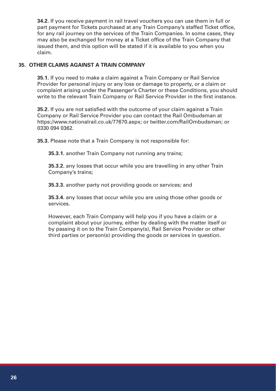**34.2.** If you receive payment in rail travel vouchers you can use them in full or part payment for Tickets purchased at any Train Company's staffed Ticket office, for any rail journey on the services of the Train Companies. In some cases, they may also be exchanged for money at a Ticket office of the Train Company that issued them, and this option will be stated if it is available to you when you claim.

#### **35. OTHER CLAIMS AGAINST A TRAIN COMPANY**

**35.1.** If you need to make a claim against a Train Company or Rail Service Provider for personal injury or any loss or damage to property, or a claim or complaint arising under the Passenger's Charter or these Conditions, you should write to the relevant Train Company or Rail Service Provider in the first instance.

**35.2.** If you are not satisfied with the outcome of your claim against a Train Company or Rail Service Provider you can contact the Rail Ombudsman at https://www.nationalrail.co.uk/77670.aspx; or twitter.com/RailOmbudsman; or 0330 094 0362.

**35.3.** Please note that a Train Company is not responsible for:

**35.3.1.** another Train Company not running any trains;

**35.3.2.** any losses that occur while you are travelling in any other Train Company's trains;

**35.3.3.** another party not providing goods or services; and

**35.3.4.** any losses that occur while you are using those other goods or services.

However, each Train Company will help you if you have a claim or a complaint about your journey, either by dealing with the matter itself or by passing it on to the Train Company(s), Rail Service Provider or other third parties or person(s) providing the goods or services in question.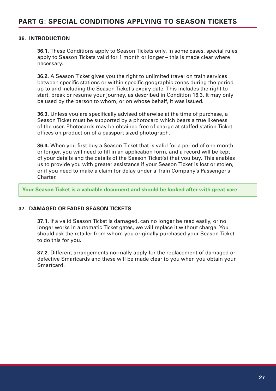#### **36. INTRODUCTION**

**36.1.** These Conditions apply to Season Tickets only. In some cases, special rules apply to Season Tickets valid for 1 month or longer – this is made clear where necessary.

**36.2.** A Season Ticket gives you the right to unlimited travel on train services between specific stations or within specific geographic zones during the period up to and including the Season Ticket's expiry date. This includes the right to start, break or resume your journey, as described in Condition 16.3. It may only be used by the person to whom, or on whose behalf, it was issued.

**36.3.** Unless you are specifically advised otherwise at the time of purchase, a Season Ticket must be supported by a photocard which bears a true likeness of the user. Photocards may be obtained free of charge at staffed station Ticket offices on production of a passport sized photograph.

**36.4.** When you first buy a Season Ticket that is valid for a period of one month or longer, you will need to fill in an application form, and a record will be kept of your details and the details of the Season Ticket(s) that you buy. This enables us to provide you with greater assistance if your Season Ticket is lost or stolen, or if you need to make a claim for delay under a Train Company's Passenger's Charter.

**Your Season Ticket is a valuable document and should be looked after with great care**

#### **37. DAMAGED OR FADED SEASON TICKETS**

**37.1.** If a valid Season Ticket is damaged, can no longer be read easily, or no longer works in automatic Ticket gates, we will replace it without charge. You should ask the retailer from whom you originally purchased your Season Ticket to do this for you.

**37.2.** Different arrangements normally apply for the replacement of damaged or defective Smartcards and these will be made clear to you when you obtain your Smartcard.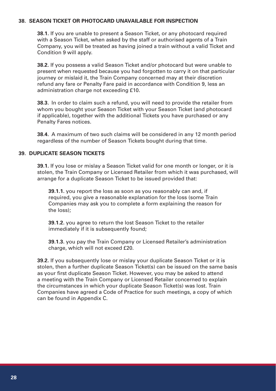#### **38. SEASON TICKET OR PHOTOCARD UNAVAILABLE FOR INSPECTION**

**38.1.** If you are unable to present a Season Ticket, or any photocard required with a Season Ticket, when asked by the staff or authorised agents of a Train Company, you will be treated as having joined a train without a valid Ticket and Condition 9 will apply.

**38.2.** If you possess a valid Season Ticket and/or photocard but were unable to present when requested because you had forgotten to carry it on that particular journey or mislaid it, the Train Company concerned may at their discretion refund any fare or Penalty Fare paid in accordance with Condition 9, less an administration charge not exceeding £10.

**38.3.** In order to claim such a refund, you will need to provide the retailer from whom you bought your Season Ticket with your Season Ticket (and photocard if applicable), together with the additional Tickets you have purchased or any Penalty Fares notices.

**38.4.** A maximum of two such claims will be considered in any 12 month period regardless of the number of Season Tickets bought during that time.

#### **39. DUPLICATE SEASON TICKETS**

**39.1.** If you lose or mislay a Season Ticket valid for one month or longer, or it is stolen, the Train Company or Licensed Retailer from which it was purchased, will arrange for a duplicate Season Ticket to be issued provided that:

**39.1.1.** you report the loss as soon as you reasonably can and, if required, you give a reasonable explanation for the loss (some Train Companies may ask you to complete a form explaining the reason for the loss);

**39.1.2.** you agree to return the lost Season Ticket to the retailer immediately if it is subsequently found:

**39.1.3.** you pay the Train Company or Licensed Retailer's administration charge, which will not exceed £20.

**39.2.** If you subsequently lose or mislay your duplicate Season Ticket or it is stolen, then a further duplicate Season Ticket(s) can be issued on the same basis as your first duplicate Season Ticket. However, you may be asked to attend a meeting with the Train Company or Licensed Retailer concerned to explain the circumstances in which your duplicate Season Ticket(s) was lost. Train Companies have agreed a Code of Practice for such meetings, a copy of which can be found in Appendix C.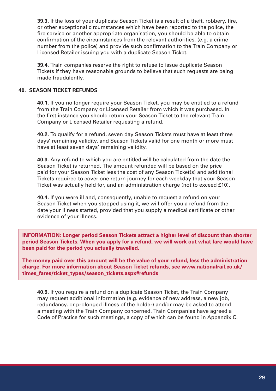**39.3.** If the loss of your duplicate Season Ticket is a result of a theft, robbery, fire, or other exceptional circumstances which have been reported to the police, the fire service or another appropriate organisation, you should be able to obtain confirmation of the circumstances from the relevant authorities, (e.g. a crime number from the police) and provide such confirmation to the Train Company or Licensed Retailer issuing you with a duplicate Season Ticket.

**39.4.** Train companies reserve the right to refuse to issue duplicate Season Tickets if they have reasonable grounds to believe that such requests are being made fraudulently.

#### **40. SEASON TICKET REFUNDS**

**40.1.** If you no longer require your Season Ticket, you may be entitled to a refund from the Train Company or Licensed Retailer from which it was purchased. In the first instance you should return your Season Ticket to the relevant Train Company or Licensed Retailer requesting a refund.

**40.2.** To qualify for a refund, seven day Season Tickets must have at least three days' remaining validity, and Season Tickets valid for one month or more must have at least seven days' remaining validity.

**40.3.** Any refund to which you are entitled will be calculated from the date the Season Ticket is returned. The amount refunded will be based on the price paid for your Season Ticket less the cost of any Season Ticket(s) and additional Tickets required to cover one return journey for each weekday that your Season Ticket was actually held for, and an administration charge (not to exceed £10).

**40.4.** If you were ill and, consequently, unable to request a refund on your Season Ticket when you stopped using it, we will offer you a refund from the date your illness started, provided that you supply a medical certificate or other evidence of your illness.

**INFORMATION: Longer period Season Tickets attract a higher level of discount than shorter period Season Tickets. When you apply for a refund, we will work out what fare would have been paid for the period you actually travelled.**

**The money paid over this amount will be the value of your refund, less the administration charge. For more information about Season Ticket refunds, see www.nationalrail.co.uk/ times\_fares/ticket\_types/season\_tickets.aspx#refunds**

**40.5.** If you require a refund on a duplicate Season Ticket, the Train Company may request additional information (e.g. evidence of new address, a new job, redundancy, or prolonged illness of the holder) and/or may be asked to attend a meeting with the Train Company concerned. Train Companies have agreed a Code of Practice for such meetings, a copy of which can be found in Appendix C.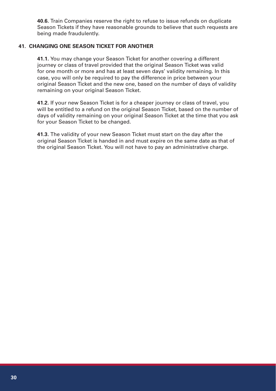**40.6.** Train Companies reserve the right to refuse to issue refunds on duplicate Season Tickets if they have reasonable grounds to believe that such requests are being made fraudulently.

#### **41. CHANGING ONE SEASON TICKET FOR ANOTHER**

**41.1.** You may change your Season Ticket for another covering a different journey or class of travel provided that the original Season Ticket was valid for one month or more and has at least seven days' validity remaining. In this case, you will only be required to pay the difference in price between your original Season Ticket and the new one, based on the number of days of validity remaining on your original Season Ticket.

**41.2.** If your new Season Ticket is for a cheaper journey or class of travel, you will be entitled to a refund on the original Season Ticket, based on the number of days of validity remaining on your original Season Ticket at the time that you ask for your Season Ticket to be changed.

**41.3.** The validity of your new Season Ticket must start on the day after the original Season Ticket is handed in and must expire on the same date as that of the original Season Ticket. You will not have to pay an administrative charge.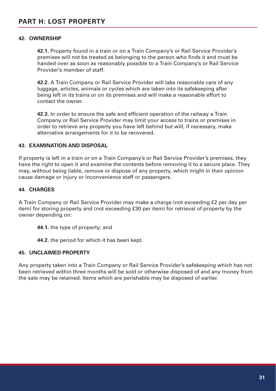#### **42. OWNERSHIP**

**42.1.** Property found in a train or on a Train Company's or Rail Service Provider's premises will not be treated as belonging to the person who finds it and must be handed over as soon as reasonably possible to a Train Company's or Rail Service Provider's member of staff.

**42.2.** A Train Company or Rail Service Provider will take reasonable care of any luggage, articles, animals or cycles which are taken into its safekeeping after being left in its trains or on its premises and will make a reasonable effort to contact the owner.

**42.3.** In order to ensure the safe and efficient operation of the railway a Train Company or Rail Service Provider may limit your access to trains or premises in order to retrieve any property you have left behind but will, if necessary, make alternative arrangements for it to be recovered.

#### **43. EXAMINATION AND DISPOSAL**

If property is left in a train or on a Train Company's or Rail Service Provider's premises, they have the right to open it and examine the contents before removing it to a secure place. They may, without being liable, remove or dispose of any property, which might in their opinion cause damage or injury or inconvenience staff or passengers.

#### **44. CHARGES**

A Train Company or Rail Service Provider may make a charge (not exceeding £2 per day per item) for storing property and (not exceeding £30 per item) for retrieval of property by the owner depending on:

- **44.1.** the type of property; and
- **44.2.** the period for which it has been kept.

#### **45. UNCLAIMED PROPERTY**

Any property taken into a Train Company or Rail Service Provider's safekeeping which has not been retrieved within three months will be sold or otherwise disposed of and any money from the sale may be retained. Items which are perishable may be disposed of earlier.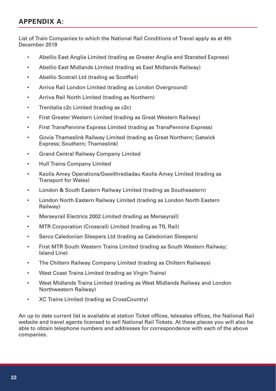# **APPENDIX A:**

List of Train Companies to which the National Rail Conditions of Travel apply as at 4th December 2019

- Abellio East Anglia Limited (trading as Greater Anglia and Stansted Express)
- Abellio East Midlands Limited (trading as East Midlands Railway)
- Abellio Scotrail Ltd (trading as ScotRail)
- Arriva Rail London Limited (trading as London Overground)
- Arriva Rail North Limited (trading as Northern)
- Trenitalia c2c Limited (trading as c2c)
- First Greater Western Limited (trading as Great Western Railway)
- First TransPennine Express Limited (trading as TransPennine Express)
- Govia Thameslink Railway Limited (trading as Great Northern; Gatwick Express; Southern; Thameslink)
- Grand Central Railway Company Limited
- Hull Trains Company Limited
- Keolis Amey Operations/Gweithrediadau Keolis Amey Limited (trading as Transport for Wales)
- London & South Eastern Railway Limited (trading as Southeastern)
- London North Eastern Railway Limited (trading as London North Eastern Railway)
- Merseyrail Electrics 2002 Limited (trading as Merseyrail)
- MTR Corporation (Crossrail) Limited (trading as TfL Rail)
- Serco Caledonian Sleepers Ltd (trading as Caledonian Sleepers)
- First MTR South Western Trains Limited (trading as South Western Railway; Island Line)
- The Chiltern Railway Company Limited (trading as Chiltern Railways)
- West Coast Trains Limited (trading as Virgin Trains)
- West Midlands Trains Limited (trading as West Midlands Railway and London Northwestern Railway)
- XC Trains Limited (trading as CrossCountry)

An up to date current list is available at station Ticket offices, telesales offices, the National Rail website and travel agents licensed to sell National Rail Tickets. At these places you will also be able to obtain telephone numbers and addresses for correspondence with each of the above companies.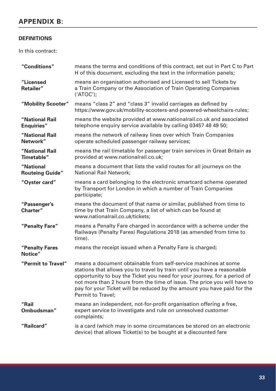# **APPENDIX B:**

#### **DEFINITIONS**

In this contract:

| "Conditions"                        | means the terms and conditions of this contract, set out in Part C to Part<br>H of this document, excluding the text in the information panels;                                                                                                                                                                                                                                                          |
|-------------------------------------|----------------------------------------------------------------------------------------------------------------------------------------------------------------------------------------------------------------------------------------------------------------------------------------------------------------------------------------------------------------------------------------------------------|
| "Licensed<br>Retailer"              | means an organisation authorised and Licensed to sell Tickets by<br>a Train Company or the Association of Train Operating Companies<br>$('ATOC')$ ;                                                                                                                                                                                                                                                      |
| "Mobility Scooter"                  | means "class 2" and "class 3" invalid carriages as defined by<br>https://www.qov.uk/mobility-scooters-and-powered-wheelchairs-rules;                                                                                                                                                                                                                                                                     |
| "National Rail<br><b>Enquiries"</b> | means the website provided at www.nationalrail.co.uk and associated<br>telephone enquiry service available by calling 03457 48 49 50;                                                                                                                                                                                                                                                                    |
| "National Rail<br>Network"          | means the network of railway lines over which Train Companies<br>operate scheduled passenger railway services;                                                                                                                                                                                                                                                                                           |
| "National Rail<br>Timetable"        | means the rail timetable for passenger train services in Great Britain as<br>provided at www.nationalrail.co.uk;                                                                                                                                                                                                                                                                                         |
| "National<br><b>Routeing Guide"</b> | means a document that lists the valid routes for all journeys on the<br>National Rail Network;                                                                                                                                                                                                                                                                                                           |
| "Oyster card"                       | means a card belonging to the electronic smartcard scheme operated<br>by Transport for London in which a number of Train Companies<br>participate;                                                                                                                                                                                                                                                       |
| "Passenger's<br>Charter"            | means the document of that name or similar, published from time to<br>time by that Train Company, a list of which can be found at<br>www.nationalrail.co.uk/tickets;                                                                                                                                                                                                                                     |
| "Penalty Fare"                      | means a Penalty Fare charged in accordance with a scheme under the<br>Railways (Penalty Fares) Regulations 2018 (as amended from time to<br>time).                                                                                                                                                                                                                                                       |
| "Penalty Fares<br>Notice"           | means the receipt issued when a Penalty Fare is charged;                                                                                                                                                                                                                                                                                                                                                 |
| "Permit to Travel"                  | means a document obtainable from self-service machines at some<br>stations that allows you to travel by train until you have a reasonable<br>opportunity to buy the Ticket you need for your journey, for a period of<br>not more than 2 hours from the time of issue. The price you will have to<br>pay for your Ticket will be reduced by the amount you have paid for the<br><b>Permit to Travel:</b> |
| "Rail<br>Ombudsman"                 | means an independent, not-for-profit organisation offering a free,<br>expert service to investigate and rule on unresolved customer<br>complaints;                                                                                                                                                                                                                                                       |
| "Railcard"                          | is a card (which may in some circumstances be stored on an electronic<br>device) that allows Ticket(s) to be bought at a discounted fare                                                                                                                                                                                                                                                                 |
|                                     |                                                                                                                                                                                                                                                                                                                                                                                                          |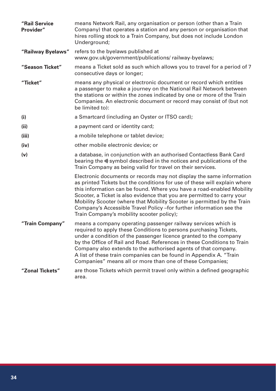| "Rail Service<br>Provider" | means Network Rail, any organisation or person (other than a Train<br>Company) that operates a station and any person or organisation that<br>hires rolling stock to a Train Company, but does not include London<br>Underground;                                                                                                                                                                                                                                                                     |
|----------------------------|-------------------------------------------------------------------------------------------------------------------------------------------------------------------------------------------------------------------------------------------------------------------------------------------------------------------------------------------------------------------------------------------------------------------------------------------------------------------------------------------------------|
| "Railway Byelaws"          | refers to the byelaws published at<br>www.gov.uk/government/publications/ railway-byelaws;                                                                                                                                                                                                                                                                                                                                                                                                            |
| "Season Ticket"            | means a Ticket sold as such which allows you to travel for a period of 7<br>consecutive days or longer;                                                                                                                                                                                                                                                                                                                                                                                               |
| "Ticket"                   | means any physical or electronic document or record which entitles<br>a passenger to make a journey on the National Rail Network between<br>the stations or within the zones indicated by one or more of the Train<br>Companies. An electronic document or record may consist of (but not<br>be limited to):                                                                                                                                                                                          |
| (i)                        | a Smartcard (including an Oyster or ITSO card);                                                                                                                                                                                                                                                                                                                                                                                                                                                       |
| (ii)                       | a payment card or identity card;                                                                                                                                                                                                                                                                                                                                                                                                                                                                      |
| (iii)                      | a mobile telephone or tablet device;                                                                                                                                                                                                                                                                                                                                                                                                                                                                  |
| (iv)                       | other mobile electronic device; or                                                                                                                                                                                                                                                                                                                                                                                                                                                                    |
| (v)                        | a database, in conjunction with an authorised Contactless Bank Card<br>bearing the w) symbol described in the notices and publications of the<br>Train Company as being valid for travel on their services.                                                                                                                                                                                                                                                                                           |
|                            | Electronic documents or records may not display the same information<br>as printed Tickets but the conditions for use of these will explain where<br>this information can be found. Where you have a road-enabled Mobility<br>Scooter, a Ticket is also evidence that you are permitted to carry your<br>Mobility Scooter (where that Mobility Scooter is permitted by the Train<br>Company's Accessible Travel Policy - for further information see the<br>Train Company's mobility scooter policy); |
| "Train Company"            | means a company operating passenger railway services which is<br>required to apply these Conditions to persons purchasing Tickets,<br>under a condition of the passenger licence granted to the company<br>by the Office of Rail and Road. References in these Conditions to Train<br>Company also extends to the authorised agents of that company.<br>A list of these train companies can be found in Appendix A. "Train<br>Companies" means all or more than one of these Companies;               |
| "Zonal Tickets"            | are those Tickets which permit travel only within a defined geographic<br>area.                                                                                                                                                                                                                                                                                                                                                                                                                       |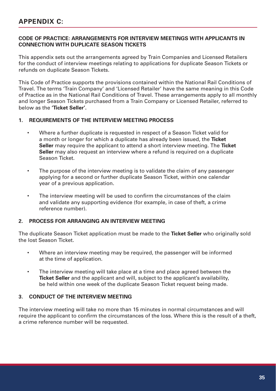# **APPENDIX C:**

#### **CODE OF PRACTICE: ARRANGEMENTS FOR INTERVIEW MEETINGS WITH APPLICANTS IN CONNECTION WITH DUPLICATE SEASON TICKETS**

This appendix sets out the arrangements agreed by Train Companies and Licensed Retailers for the conduct of interview meetings relating to applications for duplicate Season Tickets or refunds on duplicate Season Tickets.

This Code of Practice supports the provisions contained within the National Rail Conditions of Travel. The terms 'Train Company' and 'Licensed Retailer' have the same meaning in this Code of Practice as in the National Rail Conditions of Travel. These arrangements apply to all monthly and longer Season Tickets purchased from a Train Company or Licensed Retailer, referred to below as the **'Ticket Seller'.**

#### **1. REQUIREMENTS OF THE INTERVIEW MEETING PROCESS**

- Where a further duplicate is requested in respect of a Season Ticket valid for a month or longer for which a duplicate has already been issued, the **Ticket Seller** may require the applicant to attend a short interview meeting. The **Ticket Seller** may also request an interview where a refund is required on a duplicate Season Ticket.
- The purpose of the interview meeting is to validate the claim of any passenger applying for a second or further duplicate Season Ticket, within one calendar year of a previous application.
- The interview meeting will be used to confirm the circumstances of the claim and validate any supporting evidence (for example, in case of theft, a crime reference number).

#### **2. PROCESS FOR ARRANGING AN INTERVIEW MEETING**

The duplicate Season Ticket application must be made to the **Ticket Seller** who originally sold the lost Season Ticket.

- Where an interview meeting may be required, the passenger will be informed at the time of application.
- The interview meeting will take place at a time and place agreed between the **Ticket Seller** and the applicant and will, subject to the applicant's availability, be held within one week of the duplicate Season Ticket request being made.

#### **3. CONDUCT OF THE INTERVIEW MEETING**

The interview meeting will take no more than 15 minutes in normal circumstances and will require the applicant to confirm the circumstances of the loss. Where this is the result of a theft, a crime reference number will be requested.